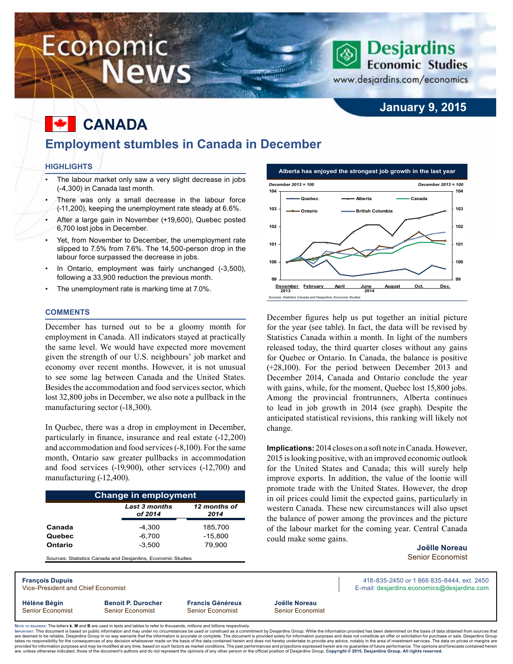# Economic **News**

### **January 9, 2015**

**Desjardins Economic Studies** 

www.desjardins.com/economics

## **Canada**

### **Employment stumbles in Canada in December**

WINDOWS AND ID on Hangilli

#### **Highlights**

- The labour market only saw a very slight decrease in jobs (-4,300) in Canada last month.
- There was only a small decrease in the labour force (-11,200), keeping the unemployment rate steady at 6.6%.
- After a large gain in November (+19,600), Quebec posted 6,700 lost jobs in December.
- Yet, from November to December, the unemployment rate slipped to 7.5% from 7.6%. The 14,500-person drop in the labour force surpassed the decrease in jobs.
- In Ontario, employment was fairly unchanged (-3,500), following a 33,900 reduction the previous month.
- The unemployment rate is marking time at 7.0%.

#### **Comments**

December has turned out to be a gloomy month for employment in Canada. All indicators stayed at practically the same level. We would have expected more movement given the strength of our U.S. neighbours' job market and economy over recent months. However, it is not unusual to see some lag between Canada and the United States. Besides the accommodation and food services sector, which lost 32,800 jobs in December, we also note a pullback in the manufacturing sector (-18,300).

In Quebec, there was a drop in employment in December, particularly in finance, insurance and real estate (-12,200) and accommodation and food services (-8,100). For the same month, Ontario saw greater pullbacks in accommodation and food services (-19,900), other services (-12,700) and manufacturing (-12,400).

|         | <b>Last 3 months</b><br>of 2014 | 12 months of<br>2014 |
|---------|---------------------------------|----------------------|
| Canada  | $-4.300$                        | 185,700              |
| Quebec  | $-6.700$                        | $-15.800$            |
| Ontario | $-3.500$                        | 79.900               |

Sources: Statistics Canada and Desjardins, Economic Studi



December figures help us put together an initial picture for the year (see table). In fact, the data will be revised by Statistics Canada within a month. In light of the numbers released today, the third quarter closes without any gains for Quebec or Ontario. In Canada, the balance is positive (+28,100). For the period between December 2013 and December 2014, Canada and Ontario conclude the year with gains, while, for the moment, Quebec lost 15,800 jobs. Among the provincial frontrunners, Alberta continues to lead in job growth in 2014 (see graph). Despite the anticipated statistical revisions, this ranking will likely not change.

**Implications:** 2014 closes on a soft note in Canada. However, 2015 is looking positive, with an improved economic outlook for the United States and Canada; this will surely help improve exports. In addition, the value of the loonie will promote trade with the United States. However, the drop in oil prices could limit the expected gains, particularly in western Canada. These new circumstances will also upset the balance of power among the provinces and the picture of the labour market for the coming year. Central Canada could make some gains.

> **Joëlle Noreau** Senior Economist

**François Dupuis** 418-835-2450 *or* 1 866 835-8444, ext. 2450 **Hélène Bégin Benoit P. Durocher Francis Généreux Joëlle Noreau**

Vice-President and Chief Economist **E-mail:** designified exception and Chief Economist E-mail: designified exception and Chief Economics of the state of the state of the state of the state of the state of the state of the

Senior Economist Senior Economist Senior Economist Senior Economist

Noте то келоекs: The letters **k, M** and **B** are used in texts and tables to refer to thousands, millions and billions respectively.<br>Імроктлит: This document is based on public information and may under no circumstances be are deemed to be reliable. Desiardins Group in no way warrants that the information is accurate or complete. The document is provided solely for information purposes and does not constitute an offer or solicitation for pur takes no responsibility for the consequences of any decision whatsoever made on the basis of the data contained herein and does not hereby undertake to provide any advice, notably in the area of investment services. The da .<br>are, unless otherwise indicated, those of the document's authors and do not represent the opinions of any other person or the official position of Desjardins Group. Copyright © 2015, Desjardins Group. All rights reserved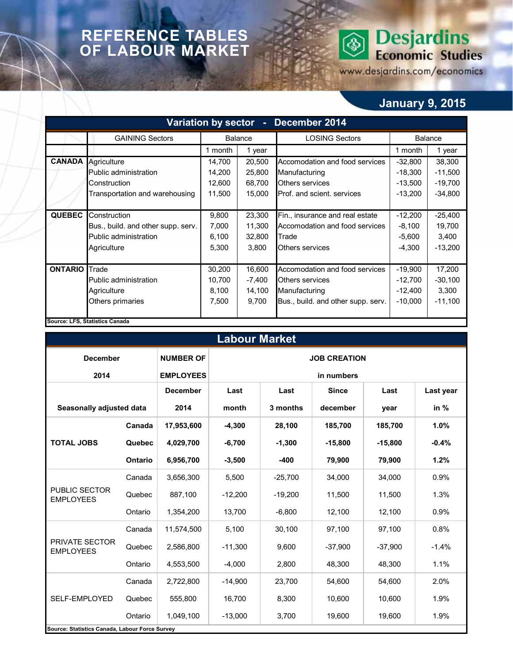### **REFERENCE TABLES OF LABOUR MARKET**

# **Desjardins**<br>Economic Studies ◈

www.desjardins.com/economics

### **January 9, 2015**

|                | Variation by sector - December 2014 |         |                |                                    |           |           |  |  |  |  |  |
|----------------|-------------------------------------|---------|----------------|------------------------------------|-----------|-----------|--|--|--|--|--|
|                | <b>GAINING Sectors</b>              |         | <b>Balance</b> | <b>LOSING Sectors</b>              |           | Balance   |  |  |  |  |  |
|                |                                     | 1 month | 1 year         |                                    | 1 month   | 1 year    |  |  |  |  |  |
| <b>CANADA</b>  | Agriculture                         | 14,700  | 20,500         | Accomodation and food services     | $-32,800$ | 38,300    |  |  |  |  |  |
|                | Public administration               | 14,200  | 25,800         | Manufacturing                      | $-18,300$ | $-11,500$ |  |  |  |  |  |
|                | Construction                        | 12,600  | 68,700         | $-13,500$                          | $-19,700$ |           |  |  |  |  |  |
|                | Transportation and warehousing      | 11,500  | 15,000         | Prof. and scient. services         | $-13,200$ | $-34,800$ |  |  |  |  |  |
|                |                                     |         |                |                                    |           |           |  |  |  |  |  |
| <b>QUEBEC</b>  | Construction                        | 9,800   | 23,300         | Fin., insurance and real estate    | $-12,200$ | $-25,400$ |  |  |  |  |  |
|                | Bus., build. and other supp. serv.  | 7,000   | 11,300         | Accomodation and food services     | $-8,100$  | 19,700    |  |  |  |  |  |
|                | Public administration               | 6,100   | 32,800         | Trade                              | $-5,600$  | 3,400     |  |  |  |  |  |
|                | Agriculture                         | 5,300   | 3,800          | <b>Others services</b>             | $-4,300$  | $-13,200$ |  |  |  |  |  |
|                |                                     |         |                |                                    |           |           |  |  |  |  |  |
| <b>ONTARIO</b> | Trade                               | 30,200  | 16,600         | Accomodation and food services     | $-19,900$ | 17,200    |  |  |  |  |  |
|                | Public administration               | 10,700  | -7,400         | Others services                    | $-12,700$ | $-30,100$ |  |  |  |  |  |
|                | Agriculture                         | 8,100   | 14,100         | Manufacturing                      | $-12,400$ | 3,300     |  |  |  |  |  |
|                | Others primaries                    | 7,500   | 9,700          | Bus., build. and other supp. serv. | $-10,000$ | $-11,100$ |  |  |  |  |  |
|                |                                     |         |                |                                    |           |           |  |  |  |  |  |
|                | Source: LFS, Statistics Canada      |         |                |                                    |           |           |  |  |  |  |  |

| <b>Labour Market</b>                           |         |                  |                     |            |              |           |           |  |  |  |  |
|------------------------------------------------|---------|------------------|---------------------|------------|--------------|-----------|-----------|--|--|--|--|
| <b>December</b>                                |         | <b>NUMBER OF</b> | <b>JOB CREATION</b> |            |              |           |           |  |  |  |  |
| 2014                                           |         | <b>EMPLOYEES</b> |                     | in numbers |              |           |           |  |  |  |  |
|                                                |         | <b>December</b>  | Last                | Last       | <b>Since</b> | Last      | Last year |  |  |  |  |
| Seasonally adjusted data                       |         | 2014             | month               | 3 months   | december     | year      | in %      |  |  |  |  |
|                                                | Canada  | 17,953,600       | $-4,300$            | 28,100     | 185,700      | 185,700   | 1.0%      |  |  |  |  |
| <b>TOTAL JOBS</b>                              | Quebec  | 4,029,700        | $-6,700$            | $-1,300$   | $-15,800$    | $-15,800$ | $-0.4%$   |  |  |  |  |
|                                                | Ontario | 6,956,700        | $-3,500$            | $-400$     | 79,900       | 79,900    | 1.2%      |  |  |  |  |
|                                                | Canada  | 3,656,300        | 5,500               | $-25,700$  | 34,000       | 34,000    | 0.9%      |  |  |  |  |
| <b>PUBLIC SECTOR</b><br><b>EMPLOYEES</b>       | Quebec  | 887,100          | $-12,200$           | $-19,200$  | 11,500       | 11,500    | 1.3%      |  |  |  |  |
|                                                | Ontario | 1,354,200        | 13,700              | $-6,800$   | 12,100       | 12,100    | 0.9%      |  |  |  |  |
|                                                | Canada  | 11,574,500       | 5.100               | 30,100     | 97,100       | 97,100    | 0.8%      |  |  |  |  |
| <b>PRIVATE SECTOR</b><br><b>EMPLOYEES</b>      | Quebec  | 2,586,800        | $-11,300$           | 9,600      | $-37.900$    | $-37,900$ | $-1.4%$   |  |  |  |  |
|                                                | Ontario | 4,553,500        | $-4,000$            | 2,800      | 48,300       | 48,300    | 1.1%      |  |  |  |  |
|                                                | Canada  | 2,722,800        | $-14.900$           | 23,700     | 54,600       | 54,600    | 2.0%      |  |  |  |  |
| SELF-EMPLOYED                                  | Quebec  | 555,800          | 16,700              | 8,300      | 10,600       | 10,600    | 1.9%      |  |  |  |  |
|                                                | Ontario | 1,049,100        | $-13,000$           | 3,700      | 19,600       | 19,600    | 1.9%      |  |  |  |  |
| Source: Statistics Canada, Labour Force Survey |         |                  |                     |            |              |           |           |  |  |  |  |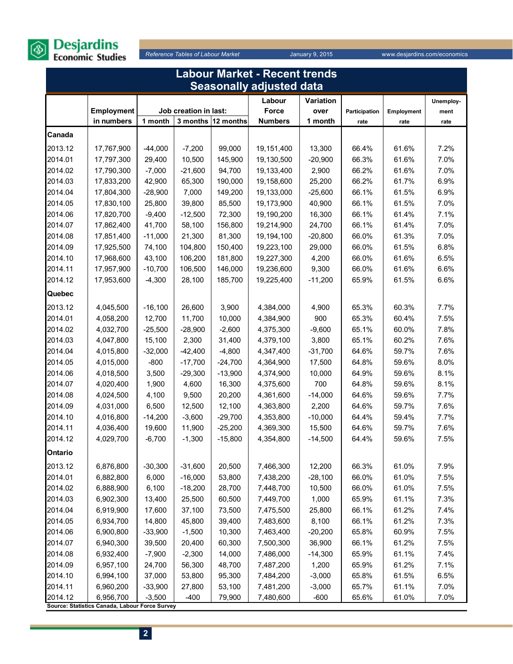

|         | Labour Market - Recent trends                               |           |                       |                    |                                 |           |               |            |           |  |  |  |
|---------|-------------------------------------------------------------|-----------|-----------------------|--------------------|---------------------------------|-----------|---------------|------------|-----------|--|--|--|
|         |                                                             |           |                       |                    | <b>Seasonally adjusted data</b> |           |               |            |           |  |  |  |
|         |                                                             |           |                       |                    | Labour                          | Variation |               |            | Unemploy- |  |  |  |
|         | Employment                                                  |           | Job creation in last: |                    | Force                           | over      | Participation | Employment | ment      |  |  |  |
|         | in numbers                                                  | 1 month   |                       | 3 months 12 months | <b>Numbers</b>                  | 1 month   | rate          | rate       | rate      |  |  |  |
| Canada  |                                                             |           |                       |                    |                                 |           |               |            |           |  |  |  |
| 2013.12 | 17,767,900                                                  | $-44,000$ | $-7,200$              | 99,000             | 19,151,400                      | 13,300    | 66.4%         | 61.6%      | 7.2%      |  |  |  |
| 2014.01 | 17,797,300                                                  | 29,400    | 10,500                | 145,900            | 19,130,500                      | $-20,900$ | 66.3%         | 61.6%      | 7.0%      |  |  |  |
| 2014.02 | 17,790,300                                                  | $-7,000$  | $-21,600$             | 94,700             | 19,133,400                      | 2,900     | 66.2%         | 61.6%      | 7.0%      |  |  |  |
| 2014.03 | 17,833,200                                                  | 42,900    | 65,300                | 190,000            | 19,158,600                      | 25,200    | 66.2%         | 61.7%      | 6.9%      |  |  |  |
| 2014.04 | 17,804,300                                                  | $-28,900$ | 7,000                 | 149,200            | 19,133,000                      | $-25,600$ | 66.1%         | 61.5%      | 6.9%      |  |  |  |
| 2014.05 | 17,830,100                                                  | 25,800    | 39,800                | 85,500             | 19,173,900                      | 40,900    | 66.1%         | 61.5%      | 7.0%      |  |  |  |
| 2014.06 | 17,820,700                                                  | $-9,400$  | $-12,500$             | 72,300             | 19,190,200                      | 16,300    | 66.1%         | 61.4%      | 7.1%      |  |  |  |
| 2014.07 | 17,862,400                                                  | 41,700    | 58,100                | 156,800            | 19,214,900                      | 24,700    | 66.1%         | 61.4%      | 7.0%      |  |  |  |
| 2014.08 | 17,851,400                                                  | $-11,000$ | 21,300                | 81,300             | 19,194,100                      | $-20,800$ | 66.0%         | 61.3%      | 7.0%      |  |  |  |
| 2014.09 | 17,925,500                                                  | 74,100    | 104,800               | 150,400            | 19,223,100                      | 29,000    | 66.0%         | 61.5%      | 6.8%      |  |  |  |
| 2014.10 | 17,968,600                                                  | 43,100    | 106,200               | 181,800            | 19,227,300                      | 4,200     | 66.0%         | 61.6%      | 6.5%      |  |  |  |
| 2014.11 | 17,957,900                                                  | $-10,700$ | 106,500               | 146,000            | 19,236,600                      | 9,300     | 66.0%         | 61.6%      | 6.6%      |  |  |  |
| 2014.12 | 17,953,600                                                  | $-4,300$  | 28,100                | 185,700            | 19,225,400                      | $-11,200$ | 65.9%         | 61.5%      | 6.6%      |  |  |  |
| Quebec  |                                                             |           |                       |                    |                                 |           |               |            |           |  |  |  |
| 2013.12 | 4,045,500                                                   | $-16,100$ | 26,600                | 3,900              | 4,384,000                       | 4,900     | 65.3%         | 60.3%      | 7.7%      |  |  |  |
| 2014.01 | 4,058,200                                                   | 12,700    | 11,700                | 10,000             | 4,384,900                       | 900       | 65.3%         | 60.4%      | 7.5%      |  |  |  |
| 2014.02 | 4,032,700                                                   | $-25,500$ | $-28,900$             | $-2,600$           | 4,375,300                       | $-9,600$  | 65.1%         | 60.0%      | 7.8%      |  |  |  |
| 2014.03 | 4,047,800                                                   | 15,100    | 2,300                 | 31,400             | 4,379,100                       | 3,800     | 65.1%         | 60.2%      | 7.6%      |  |  |  |
| 2014.04 | 4,015,800                                                   | $-32,000$ | $-42,400$             | $-4,800$           | 4,347,400                       | $-31,700$ | 64.6%         | 59.7%      | 7.6%      |  |  |  |
| 2014.05 | 4,015,000                                                   | $-800$    | $-17,700$             | $-24,700$          | 4,364,900                       | 17,500    | 64.8%         | 59.6%      | 8.0%      |  |  |  |
| 2014.06 | 4,018,500                                                   | 3,500     | $-29,300$             | $-13,900$          | 4,374,900                       | 10,000    | 64.9%         | 59.6%      | 8.1%      |  |  |  |
| 2014.07 | 4,020,400                                                   | 1,900     | 4,600                 | 16,300             | 4,375,600                       | 700       | 64.8%         | 59.6%      | 8.1%      |  |  |  |
| 2014.08 | 4,024,500                                                   | 4,100     | 9,500                 | 20,200             | 4,361,600                       | $-14,000$ | 64.6%         | 59.6%      | 7.7%      |  |  |  |
| 2014.09 | 4,031,000                                                   | 6,500     | 12,500                | 12,100             | 4,363,800                       | 2,200     | 64.6%         | 59.7%      | 7.6%      |  |  |  |
| 2014.10 | 4,016,800                                                   | $-14,200$ | $-3,600$              | $-29,700$          | 4,353,800                       | $-10,000$ | 64.4%         | 59.4%      | 7.7%      |  |  |  |
| 2014.11 | 4,036,400                                                   | 19,600    | 11,900                | $-25,200$          | 4,369,300                       | 15,500    | 64.6%         | 59.7%      | 7.6%      |  |  |  |
| 2014.12 | 4,029,700                                                   | $-6,700$  | $-1,300$              | $-15,800$          | 4,354,800                       | $-14,500$ | 64.4%         | 59.6%      | 7.5%      |  |  |  |
| Ontario |                                                             |           |                       |                    |                                 |           |               |            |           |  |  |  |
| 2013.12 | 6,876,800                                                   | $-30,300$ | $-31,600$             | 20,500             | 7,466,300                       | 12,200    | 66.3%         | 61.0%      | 7.9%      |  |  |  |
| 2014.01 | 6,882,800                                                   | 6,000     | $-16,000$             | 53,800             | 7,438,200                       | $-28,100$ | 66.0%         | 61.0%      | 7.5%      |  |  |  |
| 2014.02 | 6,888,900                                                   | 6,100     | $-18,200$             | 28,700             | 7,448,700                       | 10,500    | 66.0%         | 61.0%      | 7.5%      |  |  |  |
| 2014.03 | 6,902,300                                                   | 13,400    | 25,500                | 60,500             | 7,449,700                       | 1,000     | 65.9%         | 61.1%      | 7.3%      |  |  |  |
| 2014.04 | 6,919,900                                                   | 17,600    | 37,100                | 73,500             | 7,475,500                       | 25,800    | 66.1%         | 61.2%      | 7.4%      |  |  |  |
| 2014.05 | 6,934,700                                                   | 14,800    | 45,800                | 39,400             | 7,483,600                       | 8,100     | 66.1%         | 61.2%      | 7.3%      |  |  |  |
| 2014.06 | 6,900,800                                                   | $-33,900$ | $-1,500$              | 10,300             | 7,463,400                       | $-20,200$ | 65.8%         | 60.9%      | 7.5%      |  |  |  |
| 2014.07 | 6,940,300                                                   | 39,500    | 20,400                | 60,300             | 7,500,300                       | 36,900    | 66.1%         | 61.2%      | 7.5%      |  |  |  |
| 2014.08 | 6,932,400                                                   | $-7,900$  | $-2,300$              | 14,000             | 7,486,000                       | $-14,300$ | 65.9%         | 61.1%      | 7.4%      |  |  |  |
| 2014.09 | 6,957,100                                                   | 24,700    | 56,300                | 48,700             | 7,487,200                       | 1,200     | 65.9%         | 61.2%      | 7.1%      |  |  |  |
| 2014.10 | 6,994,100                                                   | 37,000    | 53,800                | 95,300             | 7,484,200                       | $-3,000$  | 65.8%         | 61.5%      | 6.5%      |  |  |  |
| 2014.11 | 6,960,200                                                   | $-33,900$ | 27,800                | 53,100             | 7,481,200                       | $-3,000$  | 65.7%         | 61.1%      | 7.0%      |  |  |  |
| 2014.12 | 6,956,700<br>Source: Statistics Canada, Labour Force Survey | $-3,500$  | $-400$                | 79,900             | 7,480,600                       | $-600$    | 65.6%         | 61.0%      | 7.0%      |  |  |  |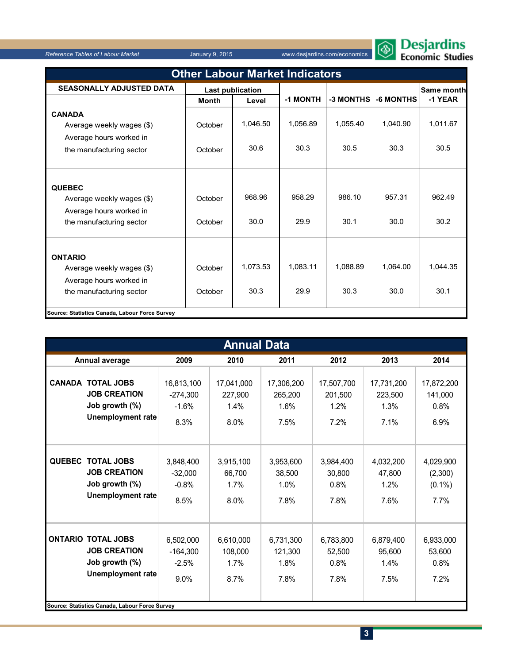

|  | zesjardins      |  |
|--|-----------------|--|
|  | conomic Studies |  |

| <b>Other Labour Market Indicators</b>                                                              |                    |                         |                  |                  |                  |                  |  |  |  |  |
|----------------------------------------------------------------------------------------------------|--------------------|-------------------------|------------------|------------------|------------------|------------------|--|--|--|--|
| <b>SEASONALLY ADJUSTED DATA</b>                                                                    |                    | <b>Last publication</b> |                  |                  |                  | Same month       |  |  |  |  |
|                                                                                                    | <b>Month</b>       | Level                   | -1 MONTH         | -3 MONTHS        | -6 MONTHS        | -1 YEAR          |  |  |  |  |
| <b>CANADA</b><br>Average weekly wages (\$)<br>Average hours worked in                              | October            | 1,046.50                | 1,056.89         | 1,055.40         | 1,040.90         | 1,011.67         |  |  |  |  |
| the manufacturing sector                                                                           | October            | 30.6                    | 30.3             | 30.5             | 30.3             | 30.5             |  |  |  |  |
| <b>QUEBEC</b><br>Average weekly wages (\$)<br>Average hours worked in<br>the manufacturing sector  | October<br>October | 968.96<br>30.0          | 958.29<br>29.9   | 986.10<br>30.1   | 957.31<br>30.0   | 962.49<br>30.2   |  |  |  |  |
| <b>ONTARIO</b><br>Average weekly wages (\$)<br>Average hours worked in<br>the manufacturing sector | October<br>October | 1,073.53<br>30.3        | 1.083.11<br>29.9 | 1.088.89<br>30.3 | 1.064.00<br>30.0 | 1.044.35<br>30.1 |  |  |  |  |
| Source: Statistics Canada, Labour Force Survey                                                     |                    |                         |                  |                  |                  |                  |  |  |  |  |

|               | <b>Annual Data</b>                                                                                                                               |                                             |                                       |                                       |                                       |                                       |                                           |  |  |  |  |
|---------------|--------------------------------------------------------------------------------------------------------------------------------------------------|---------------------------------------------|---------------------------------------|---------------------------------------|---------------------------------------|---------------------------------------|-------------------------------------------|--|--|--|--|
|               | Annual average                                                                                                                                   | 2009                                        | 2010                                  | 2011                                  | 2012                                  | 2013                                  | 2014                                      |  |  |  |  |
|               | <b>CANADA TOTAL JOBS</b><br><b>JOB CREATION</b><br>Job growth (%)<br>Unemployment rate                                                           | 16,813,100<br>$-274,300$<br>$-1.6%$<br>8.3% | 17,041,000<br>227,900<br>1.4%<br>8.0% | 17,306,200<br>265,200<br>1.6%<br>7.5% | 17,507,700<br>201,500<br>1.2%<br>7.2% | 17,731,200<br>223,500<br>1.3%<br>7.1% | 17,872,200<br>141,000<br>0.8%<br>6.9%     |  |  |  |  |
| <b>QUEBEC</b> | <b>TOTAL JOBS</b><br><b>JOB CREATION</b><br>Job growth (%)<br><b>Unemployment rate</b>                                                           | 3,848,400<br>$-32,000$<br>$-0.8%$<br>8.5%   | 3,915,100<br>66,700<br>1.7%<br>8.0%   | 3,953,600<br>38,500<br>1.0%<br>7.8%   | 3,984,400<br>30,800<br>0.8%<br>7.8%   | 4,032,200<br>47,800<br>1.2%<br>7.6%   | 4,029,900<br>(2,300)<br>$(0.1\%)$<br>7.7% |  |  |  |  |
|               | <b>ONTARIO TOTAL JOBS</b><br><b>JOB CREATION</b><br>Job growth (%)<br><b>Unemployment rate</b><br>Source: Statistics Canada, Labour Force Survey | 6,502,000<br>$-164,300$<br>$-2.5%$<br>9.0%  | 6,610,000<br>108,000<br>1.7%<br>8.7%  | 6,731,300<br>121,300<br>1.8%<br>7.8%  | 6,783,800<br>52,500<br>0.8%<br>7.8%   | 6,879,400<br>95,600<br>1.4%<br>7.5%   | 6,933,000<br>53,600<br>0.8%<br>7.2%       |  |  |  |  |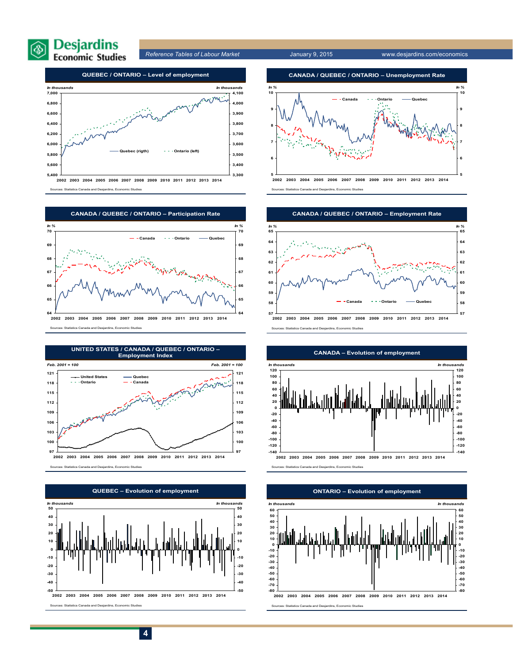



Sources: Statistics Canada and Desjardins, Economic Studies



Sources: Statistics Canada and Desjardins, Economic Studies





**2002 2003 2004 2005 2006 2007 2008 2009 2010 2011 2012 2013 2014**

Sources: Statistics Canada and Desjardins, Economic Studies



**2002 2003 2004 2005 2006 2007 2008 2009 2010 2011 2012 2013 2014** Sources: Statistics Canada and Desjardins, Economic Studies





**CANADA – Evolution of employment**